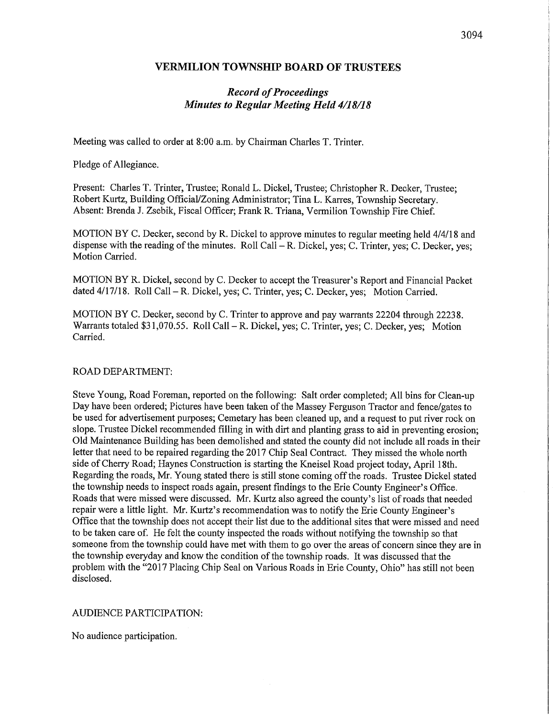### VERMILION TOWNSHIP BOARD OF TRUSTEES

# Record of Proceedings Minutes to Regular Meeting Held 4/18/18

Meeting was called to order at 8:00 a.m. by Chairman Charles T. Trinter.

Pledge of Allegiance.

Present: Charles T. Trinter, Trustee; Ronald L. Dickel, Trustee; Christopher R. Decker, Trustee; Robert Kurtz, Building Official/Zoning Administrator; Tina L. Karres, Township Secretary. Absent: Brenda J. Zsebik, Fiscal Officer; Frank R. Triana, Vermilion Township Fire Chief.

MOTION BY C. Decker, second by R. Dickel to approve minutes to regular meeting held 4/4/18 and dispense with the reading of the minutes. Roll Call - R. Dickel, yes; C. Trinter, yes; C. Decker, yes; Motion Carried.

MOTION BY R. Dickel, second by C. Decker to accept the Treasurer's Report and Financial Packet dated 4/17/18. Roll Call – R. Dickel, yes; C. Trinter, yes; C. Decker, yes; Motion Carried.

MOTION BY C. Decker, second by C. Trinter to approve and pay warrants 22204 through 22238. Warrants totaled  $$31,070.55$ . Roll Call - R. Dickel, yes; C. Trinter, yes; C. Decker, yes; Motion Carried.

#### ROAD DEPARTMENT:

Steve Young, Road Foreman, reported on the following: Salt order completed; All bins for Clean-up Day have been ordered; Pictures have been taken of the Massey Ferguson Tractor and fence/gates to be used for advertisement purposes; Cemetary has been cleaned up, and a request to put river rock on slope. Trustee Dickel recommended filling in with dirt and planting grass to aid in preventing erosion; Old Maintenance Building has been demolished and stated the county did not include all roads in their letter that need to be repaired regarding the 2017 Chip Seal Contract. They missed the whole north side of Cherry Road; Haynes Construction is starting the Kneisel Road project today, April 18th. Regarding the roads, Mr. Young stated there is still stone coming off the roads. Trustee Dickel stated the township needs to inspect roads again, present findings to the Erie County Engineer's Office. Roads that were missed were discussed. Mr. Kurtz also agreed the county's list of roads that needed repair were a little light. Mr. Kurtz's recommendation was to notify the Erie County Engineer's Office that the township does not accept their list due to the additional sites that were missed and need to be taken care of. He felt the county inspected the roads without notifying the township so that someone from the township could have met with them to go over the areas of concern since they are in the township everyday and know the condition of the township roads. It was discussed that the problem with the "2017 Placing Chip Seal on Various Roads in Erie County, Ohio" has still not been disclosed.

### AUDIENCE PARTICIPATION:

No audience participation.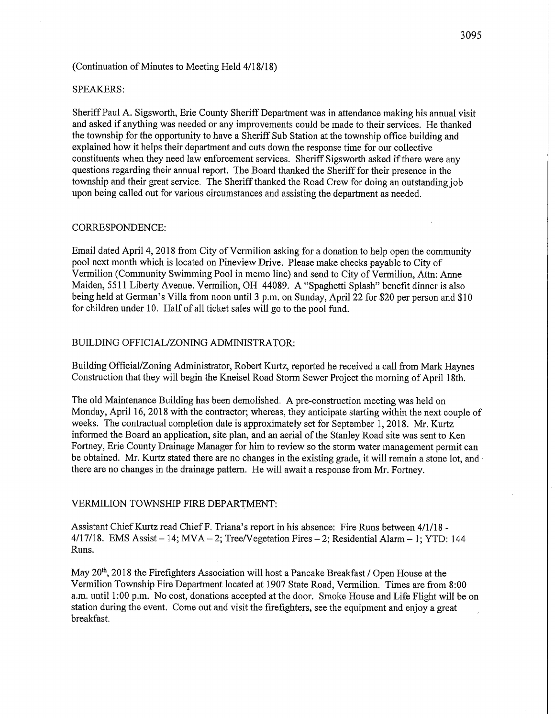#### SPEAKERS:

Sheriff Paul A. Sigsworth, Erie County Sheriff Department was in attendance making his annual visit and asked if anything was needed or any improvements could be made to their services. He thanked the township for the opportunity to have a Sheriff Sub Station at the township office building and explained how it helps their department and cuts down the response time for our collective constituents when they need law enforcement services. Sheriff Sigsworth asked if there were any questions regarding their annual report. The Board thanked the Sheriff for their presence in the township and their great service. The Sheriff thanked the Road Crew for doing an outstanding job upon being called out for various circumstances and assisting the department as needed.

#### CORRESPONDENCE:

Email dated April 4, 2018 from City of Vermilion asking for a donation to help open the community pool next month which is located on Pineview Drive. Please make checks payable to City of Vermilion (Community Swimming Pool in memo line) and send to City of Vermilion, Attn: Anne Maiden, 5511 Liberty Avenue. Vermilion, OH 44089. A "Spaghetti Splash" benefit dinner is also being held at German's Villa from noon until 3 p.m. on Sunday, April 22 for \$20 per person and \$10 for children under 10. Half of all ticket sales will go to the pool fund.

#### BUILDING OFFICIAL/ZONING ADMINISTRATOR:

Building Official/Zoning Administrator, Robert Kurtz, reported he received a call from Mark Haynes Construction that they will begin the Kneisel Road Storm Sewer Project the morning of April 18th.

The old Maintenance Building has been demolished. A pre-construction meeting was held on Monday, April 16, 2018 with the contractor; whereas, they anticipate starting within the next couple of weeks. The contractual completion date is approximately set for September 1, 2018. Mr. Kurtz informed the Board an application, site plan, and an aerial of the Stanley Road site was sent to Ken Fortney, Erie County Drainage Manager for him to review so the storm water management permit can be obtained. Mr. Kurtz stated there are no changes in the existing grade, it will remain a stone lot, and there are no changes in the drainage pattern. He will await a response from Mr. Fortney.

#### VERMILION TOWNSHIP FIRE DEPARTMENT:

Assistant Chief Kurtz read Chief F. Triana's report in his absence: Fire Runs between 4/1/18 -  $4/17/18$ . EMS Assist - 14; MVA - 2; Tree/Vegetation Fires - 2; Residential Alarm - 1; YTD: 144 Runs.

May 20<sup>th</sup>, 2018 the Firefighters Association will host a Pancake Breakfast / Open House at the Vermilion Township Fire Department located at 1907 State Road, Vermilion. Times are from 8:00 a.m. until 1:00 p.m. No cost, donations accepted at the door. Smoke House and Life Flight will be on station during the event. Come out and visit the firefighters, see the equipment and enjoy a great breakfast.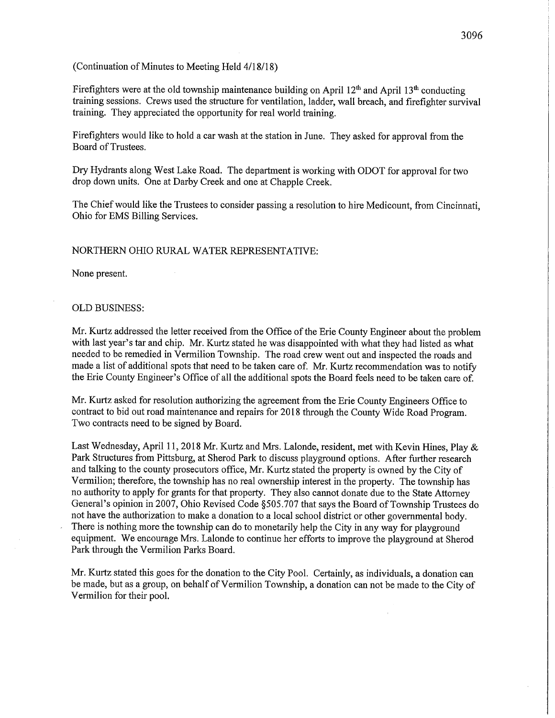Firefighters were at the old township maintenance building on April  $12<sup>th</sup>$  and April  $13<sup>th</sup>$  conducting training sessions. Crews used the structure for ventilation, ladder, wall breach, and firefighter survival training. They appreciated the opportunity for real world training.

Firefighters would like to hold a car wash at the station in June. They asked for approval from the Board of Trustees.

Dry Hydrants along West Lake Road. The department is working with ODOT for approval for two drop down units. One at Darby Creek and one at Chapple Creek.

The Chief would like the Trustees to consider passing a resolution to hire Medicount, from Cincinnati, Ohio for EMS Billing Services.

### NORTHERN OHIO RURAL WATER REPRESENTATWE:

None present.

#### OLD BUSINESS:

Mr. Kurtz addressed the letter received from the Office of the Erie County Engineer about the problem with last year's tar and chip. Mr. Kurtz stated he was disappointed with what they had listed as what needed to be remedied in Vermilion Township. The road crew went out and inspected the roads and made a list of additional spots that need to be taken care of. Mr. Kurtz recommendation was to notify the Erie County Engineer's Office of all the additional spots the Board feels need to be taken care of.

Mr. Kurtz asked for resolution authorizing the agreement from the Erie County Engineers Office to contract to bid out road maintenance and repairs for 2018 through the County Wide Road Program. Two contracts need to be signed by Board.

Last Wednesday, April 11, 2018 Mr. Kurtz and Mrs. Lalonde, resident, met with Kevin Hines, Play & Park Structures from Pittsburg, at Sherod Park to discuss playground options. After further research and talking to the county prosecutors office, Mr. Kurtz stated the property is owned by the City of Vermilion; therefore, the township has no real ownership interest in the property. The township has no authority to apply for grants for that property. They also cannot donate due to the State Attorney General's opinion in 2007, Ohio Revised Code §505.707 that says the Board of Township Trustees do not have the authorization to make a donation to a local school district or other governmental body. There is nothing more the township can do to monetarily help the City in any way for playground equipment. We encourage Mrs. Lalonde to continue her efforts to improve the playground at Sherod Park through the Vermilion Parks Board.

Mr. Kurtz stated this goes for the donation to the City Pool. Certainly, as individuals, a donation can be made, but as a group, on behalf of Vermilion Township, a donation can not be made to the City of Vermilion for their pool.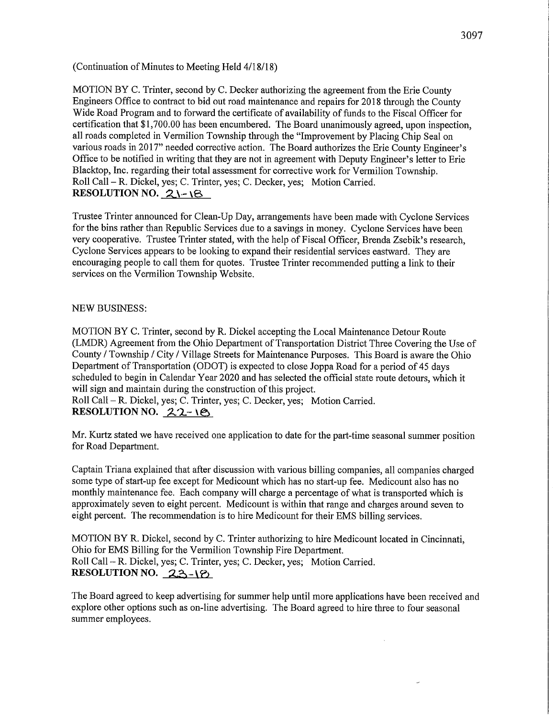MOTION BY C. Trinter, second by C. Decker authorizing the agreement from the Erie County Engineers Office to contract to bid out road maintenance and repairs for 2018 through the County Wide Road Program and to forward the certificate of availability of funds to the Fiscal Officer for certification that \$1,700.00 has been encumbered. The Board unanimously agreed, upon inspection, all roads completed in Vermilion Township through the "Improvement by Placing Chip Seal on various roads in 2017" needed corrective action. The Board authorizes the Erie County Engineer's Office to be notified in writing that they are not in agreement with Deputy Engineer's letter to Erie Blacktop, Inc. regarding their total assessment for corrective work for Vermilion Township. Roll Call - R. Dickel, yes; C. Trinter, yes; C. Decker, yes; Motion Carried. RESOLUTION NO.  $2\ -\$ 

Trustee Trinter announced for Clean-Up Day, arrangements have been made with Cyclone Services for the bins rather than Republic Services due to a savings in money. Cyclone Services have been very cooperative. Trustee Trinter stated, with the help of Fiscal Officer, Brenda Zsebik's research, Cyclone Services appears to be looking to expand their residential services eastward. They are encouraging people to call them for quotes. Trustee Trinter recommended putting a link to their services on the Vermilion Township Website.

## NEW BUSINESS:

MOTION BY C. Trinter, second by R. Dickel accepting the Local Maintenance Detour Route (LMDR) Agreement from the Ohio Department of Transportation District Three Covering the Use of County / Township / City / Village Streets for Maintenance Purposes. This Board is aware the Ohio Department of Transportation (ODOT) is expected to close Joppa Road for a period of 45 days scheduled to begin in Calendar Year 2020 and has selected the official state route detours, which it will sign and maintain during the construction of this project.

Roll Call - R. Dickel, yes; C. Trinter, yes; C. Decker, yes; Motion Carried. RESOLUTION NO.  $22-i$ 

Mr. Kurtz stated we have received one application to date for the part-time seasonal summer position for Road Department.

Captain Triana explained that after discussion with various billing companies, all companies charged some type of start-up fee except for Medicount which has no start-up fee. Medicount also has no monthly maintenance fee. Each company will charge a percentage of what is transported which is approximately seven to eight percent. Medicount is within that range and charges around seven to eight percent. The recommendation is to hire Medicount for their EMS billing services.

MOTION BY R. Dickel, second by C. Trinter authorizing to hire Medicount located in Cincinnati, Ohio for EMS Billing for the Vermilion Township Fire Department. Roll Call - R. Dickel, yes; C. Trinter, yes; C. Decker, yes; Motion Carried. RESOLUTION NO.  $23-18$ 

The Board agreed to keep advertising for summer help until more applications have been received and explore other options such as on-line advertising. The Board agreed to hire three to four seasonal summer employees.